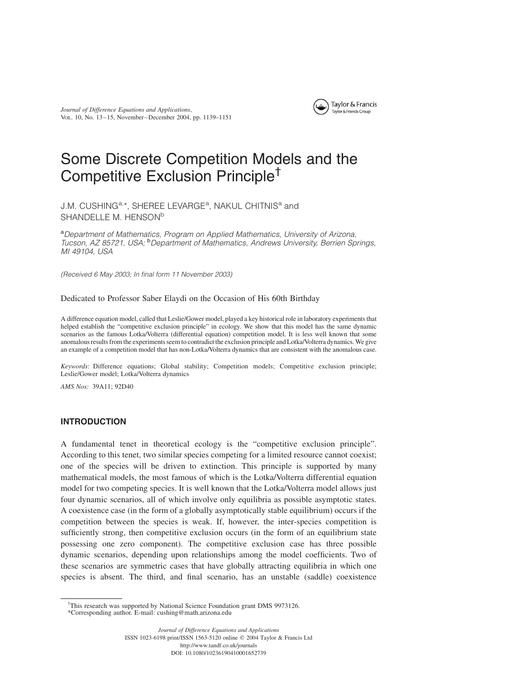Journal of Difference Equations and Applications, Vol. 10, No. 13–15, November–December 2004, pp. 1139–1151



# Some Discrete Competition Models and the Competitive Exclusion Principle†

J.M. CUSHING<sup>a,\*</sup>, SHEREE LEVARGE<sup>a</sup>, NAKUL CHITNIS<sup>a</sup> and SHANDELLE M. HENSON<sup>b</sup>

aDepartment of Mathematics, Program on Applied Mathematics, University of Arizona, Tucson, AZ 85721, USA; <sup>b</sup>Department of Mathematics, Andrews University, Berrien Springs, MI 49104, USA

(Received 6 May 2003; In final form 11 November 2003)

## Dedicated to Professor Saber Elaydi on the Occasion of His 60th Birthday

A difference equation model, called that Leslie/Gower model, played a key historical role in laboratory experiments that helped establish the "competitive exclusion principle" in ecology. We show that this model has the same dynamic scenarios as the famous Lotka/Volterra (differential equation) competition model. It is less well known that some anomalous results from the experiments seem to contradict the exclusion principle and Lotka/Volterra dynamics. We give an example of a competition model that has non-Lotka/Volterra dynamics that are consistent with the anomalous case.

Keywords: Difference equations; Global stability; Competition models; Competitive exclusion principle; Leslie/Gower model; Lotka/Volterra dynamics

AMS Nos: 39A11; 92D40

# INTRODUCTION

A fundamental tenet in theoretical ecology is the "competitive exclusion principle". According to this tenet, two similar species competing for a limited resource cannot coexist; one of the species will be driven to extinction. This principle is supported by many mathematical models, the most famous of which is the Lotka/Volterra differential equation model for two competing species. It is well known that the Lotka/Volterra model allows just four dynamic scenarios, all of which involve only equilibria as possible asymptotic states. A coexistence case (in the form of a globally asymptotically stable equilibrium) occurs if the competition between the species is weak. If, however, the inter-species competition is sufficiently strong, then competitive exclusion occurs (in the form of an equilibrium state possessing one zero component). The competitive exclusion case has three possible dynamic scenarios, depending upon relationships among the model coefficients. Two of these scenarios are symmetric cases that have globally attracting equilibria in which one species is absent. The third, and final scenario, has an unstable (saddle) coexistence

ISSN 1023-6198 print/ISSN 1563-5120 online q 2004 Taylor & Francis Ltd http://www.tandf.co.uk/journals

DOI: 10.1080/10236190410001652739

<sup>&</sup>lt;sup>†</sup>This research was supported by National Science Foundation grant DMS 9973126.

<sup>\*</sup>Corresponding author. E-mail: cushing@math.arizona.edu

Journal of Difference Equations and Applications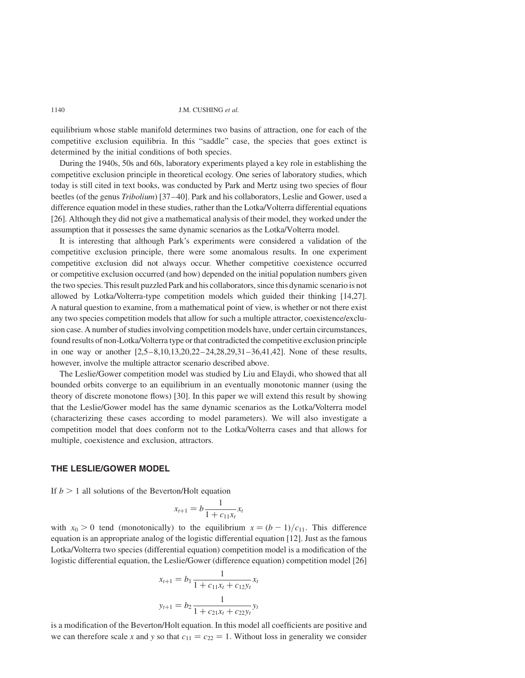equilibrium whose stable manifold determines two basins of attraction, one for each of the competitive exclusion equilibria. In this "saddle" case, the species that goes extinct is determined by the initial conditions of both species.

During the 1940s, 50s and 60s, laboratory experiments played a key role in establishing the competitive exclusion principle in theoretical ecology. One series of laboratory studies, which today is still cited in text books, was conducted by Park and Mertz using two species of flour beetles (of the genus Tribolium) [37–40]. Park and his collaborators, Leslie and Gower, used a difference equation model in these studies, rather than the Lotka/Volterra differential equations [26]. Although they did not give a mathematical analysis of their model, they worked under the assumption that it possesses the same dynamic scenarios as the Lotka/Volterra model.

It is interesting that although Park's experiments were considered a validation of the competitive exclusion principle, there were some anomalous results. In one experiment competitive exclusion did not always occur. Whether competitive coexistence occurred or competitive exclusion occurred (and how) depended on the initial population numbers given the two species. This result puzzled Park and his collaborators, since this dynamic scenario is not allowed by Lotka/Volterra-type competition models which guided their thinking [14,27]. A natural question to examine, from a mathematical point of view, is whether or not there exist any two species competition models that allow for such a multiple attractor, coexistence/exclusion case. A number of studies involving competition models have, under certain circumstances, found results of non-Lotka/Volterra type or that contradicted the competitive exclusion principle in one way or another  $[2,5-8,10,13,20,22-24,28,29,31-36,41,42]$ . None of these results, however, involve the multiple attractor scenario described above.

The Leslie/Gower competition model was studied by Liu and Elaydi, who showed that all bounded orbits converge to an equilibrium in an eventually monotonic manner (using the theory of discrete monotone flows) [30]. In this paper we will extend this result by showing that the Leslie/Gower model has the same dynamic scenarios as the Lotka/Volterra model (characterizing these cases according to model parameters). We will also investigate a competition model that does conform not to the Lotka/Volterra cases and that allows for multiple, coexistence and exclusion, attractors.

# THE LESLIE/GOWER MODEL

If  $b > 1$  all solutions of the Beverton/Holt equation

$$
x_{t+1} = b \frac{1}{1 + c_{11}x_t} x_t
$$

with  $x_0 > 0$  tend (monotonically) to the equilibrium  $x = (b-1)/c_{11}$ . This difference equation is an appropriate analog of the logistic differential equation [12]. Just as the famous Lotka/Volterra two species (differential equation) competition model is a modification of the logistic differential equation, the Leslie/Gower (difference equation) competition model [26]

$$
x_{t+1} = b_1 \frac{1}{1 + c_{11}x_t + c_{12}y_t} x_t
$$
  

$$
y_{t+1} = b_2 \frac{1}{1 + c_{21}x_t + c_{22}y_t} y_t
$$

is a modification of the Beverton/Holt equation. In this model all coefficients are positive and we can therefore scale x and y so that  $c_{11} = c_{22} = 1$ . Without loss in generality we consider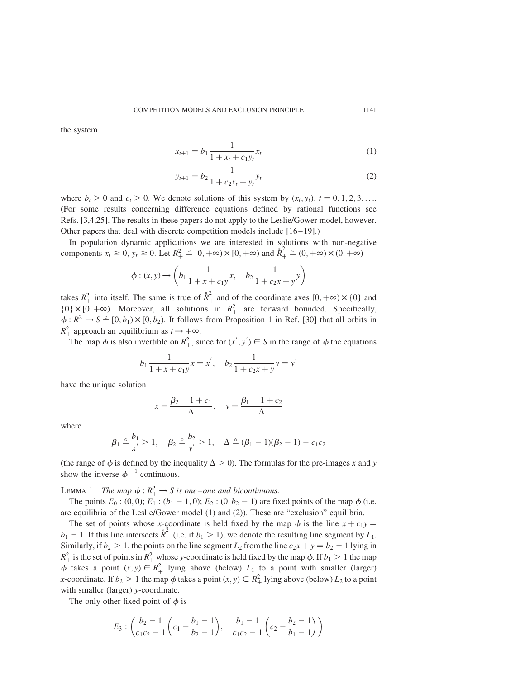the system

$$
x_{t+1} = b_1 \frac{1}{1 + x_t + c_1 y_t} x_t \tag{1}
$$

$$
y_{t+1} = b_2 \frac{1}{1 + c_2 x_t + y_t} y_t \tag{2}
$$

 $\overline{1}$ 

where  $b_i > 0$  and  $c_i > 0$ . We denote solutions of this system by  $(x_i, y_i)$ ,  $t = 0, 1, 2, 3, \ldots$ (For some results concerning difference equations defined by rational functions see Refs. [3,4,25]. The results in these papers do not apply to the Leslie/Gower model, however. Other papers that deal with discrete competition models include [16–19].)

In population dynamic applications we are interested in solutions with non-negative components  $x_t \ge 0$ ,  $y_t \ge 0$ . Let  $R_+^2 \triangleq [0, +\infty) \times [0, +\infty)$  and  $\mathring{R}_+^2 \triangleq (0, +\infty) \times (0, +\infty)$ 

$$
\phi: (x, y) \to \left(b_1 \frac{1}{1 + x + c_1 y} x, \quad b_2 \frac{1}{1 + c_2 x + y} y\right)
$$

takes  $R_+^2$  into itself. The same is true of  $\mathring{R}_+^2$  and of the coordinate axes  $[0, +\infty) \times \{0\}$  and  $\{0\} \times [0, +\infty)$ . Moreover, all solutions in  $R_+^2$  are forward bounded. Specifically,  $\phi: R_+^2 \to S \cong [0, b_1) \times [0, b_2)$ . It follows from Proposition 1 in Ref. [30] that all orbits in  $R_+^2$  approach an equilibrium as  $t \to +\infty$ .

The map  $\phi$  is also invertible on  $R_+^2$ , since for  $(x', y') \in S$  in the range of  $\phi$  the equations

$$
b_1 \frac{1}{1 + x + c_1 y} x = x', \quad b_2 \frac{1}{1 + c_2 x + y} y = y
$$

have the unique solution

$$
x = \frac{\beta_2 - 1 + c_1}{\Delta}, \quad y = \frac{\beta_1 - 1 + c_2}{\Delta}
$$

where

$$
\beta_1 \triangleq \frac{b_1}{x'} > 1, \quad \beta_2 \triangleq \frac{b_2}{y'} > 1, \quad \Delta \triangleq (\beta_1 - 1)(\beta_2 - 1) - c_1 c_2
$$

(the range of  $\phi$  is defined by the inequality  $\Delta > 0$ ). The formulas for the pre-images x and y show the inverse  $\phi^{-1}$  continuous.

LEMMA 1 The map  $\phi : R_+^2 \to S$  is one–one and bicontinuous.

The points  $E_0$ : (0, 0);  $E_1$ : ( $b_1$  – 1, 0);  $E_2$ : (0,  $b_2$  – 1) are fixed points of the map  $\phi$  (i.e. are equilibria of the Leslie/Gower model (1) and (2)). These are "exclusion" equilibria.

The set of points whose x-coordinate is held fixed by the map  $\phi$  is the line  $x + c_1y =$  $b_1 - 1$ . If this line intersects  $\mathring{R}_+^2$  (i.e. if  $b_1 > 1$ ), we denote the resulting line segment by  $L_1$ . Similarly, if  $b_2 > 1$ , the points on the line segment  $L_2$  from the line  $c_2x + y = b_2 - 1$  lying in  $R_+^2$  is the set of points in  $R_+^2$  whose y-coordinate is held fixed by the map  $\phi$ . If  $b_1 > 1$  the map  $\phi$  takes a point  $(x, y) \in R^2_+$  lying above (below)  $L_1$  to a point with smaller (larger) *x*-coordinate. If  $b_2 > 1$  the map  $\phi$  takes a point  $(x, y) \in R_+^2$  lying above (below)  $L_2$  to a point with smaller (larger) y-coordinate.

The only other fixed point of  $\phi$  is

$$
E_3: \left(\frac{b_2-1}{c_1c_2-1}\left(c_1-\frac{b_1-1}{b_2-1}\right), \frac{b_1-1}{c_1c_2-1}\left(c_2-\frac{b_2-1}{b_1-1}\right)\right)
$$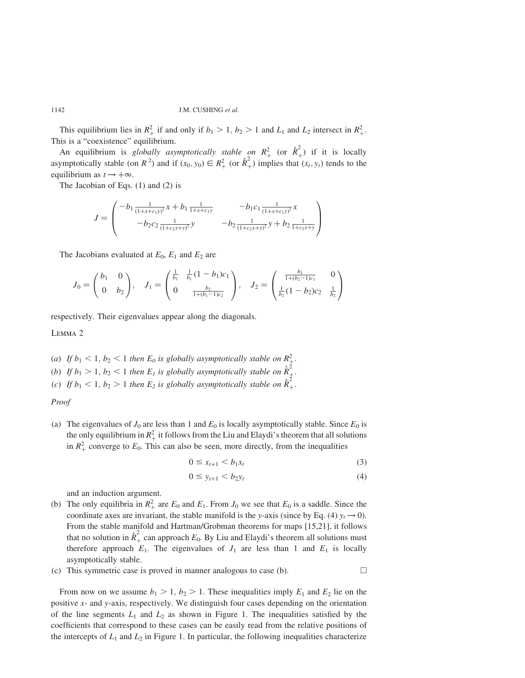This equilibrium lies in  $R_+^2$  if and only if  $b_1 > 1$ ,  $b_2 > 1$  and  $L_1$  and  $L_2$  intersect in  $R_+^2$ . This is a "coexistence" equilibrium.

An equilibrium is *globally asymptotically stable on*  $R_+^2$  (or  $\hat{R}_+^2$ ) if it is locally asymptotically stable (on  $R^2$ ) and if  $(x_0, y_0) \in R^2_+$  (or  $\mathring{R}^2_+$ ) implies that  $(x_t, y_t)$  tends to the equilibrium as  $t \rightarrow +\infty$ .

The Jacobian of Eqs. (1) and (2) is

$$
J = \begin{pmatrix} -b_1 \frac{1}{(1+x+c_1y)^2}x + b_1 \frac{1}{1+x+c_1y} & -b_1c_1 \frac{1}{(1+x+c_1y)^2}x \\ -b_2c_2 \frac{1}{(1+c_2x+y)^2}y & -b_2 \frac{1}{(1+c_2x+y)^2}y + b_2 \frac{1}{1+c_2x+y} \end{pmatrix}
$$

The Jacobians evaluated at  $E_0$ ,  $E_1$  and  $E_2$  are

$$
J_0 = \begin{pmatrix} b_1 & 0 \\ 0 & b_2 \end{pmatrix}, \quad J_1 = \begin{pmatrix} \frac{1}{b_1} & \frac{1}{b_1}(1-b_1)c_1 \\ 0 & \frac{b_2}{1+(b_1-1)c_2} \end{pmatrix}, \quad J_2 = \begin{pmatrix} \frac{b_1}{1+(b_2-1)c_1} & 0 \\ \frac{1}{b_2}(1-b_2)c_2 & \frac{1}{b_2} \end{pmatrix}
$$

respectively. Their eigenvalues appear along the diagonals.

Lemma 2

- (a) If  $b_1 < 1, b_2 < 1$  then  $E_0$  is globally asymptotically stable on  $R_+^2$ .
- (b) If  $b_1 > 1$ ,  $b_2 < 1$  then  $E_l$  is globally asymptotically stable on  $\mathring{R}_+^2$ .
- (c) If  $b_1 < 1, b_2 > 1$  then  $E_2$  is globally asymptotically stable on  $\mathring{R}_+^2$ .

Proof

(a) The eigenvalues of  $J_0$  are less than 1 and  $E_0$  is locally asymptotically stable. Since  $E_0$  is the only equilibrium in  $R_+^2$  it follows from the Liu and Elaydi's theorem that all solutions in  $R_+^2$  converge to  $E_0$ . This can also be seen, more directly, from the inequalities

$$
0 \leq x_{t+1} < b_1 x_t \tag{3}
$$

$$
0 \le y_{t+1} < b_2 y_t \tag{4}
$$

and an induction argument.

- (b) The only equilibria in  $R_+^2$  are  $E_0$  and  $E_1$ . From  $J_0$  we see that  $E_0$  is a saddle. Since the coordinate axes are invariant, the stable manifold is the y-axis (since by Eq. (4)  $y_t \rightarrow 0$ ). From the stable manifold and Hartman/Grobman theorems for maps [15,21], it follows that no solution in  $\mathring{R}_+^2$  can approach  $E_0$ . By Liu and Elaydi's theorem all solutions must therefore approach  $E_1$ . The eigenvalues of  $J_1$  are less than 1 and  $E_1$  is locally asymptotically stable.
- (c) This symmetric case is proved in manner analogous to case (b).  $\Box$

From now on we assume  $b_1 > 1$ ,  $b_2 > 1$ . These inequalities imply  $E_1$  and  $E_2$  lie on the positive x- and y-axis, respectively. We distinguish four cases depending on the orientation of the line segments  $L_1$  and  $L_2$  as shown in Figure 1. The inequalities satisfied by the coefficients that correspond to these cases can be easily read from the relative positions of the intercepts of  $L_1$  and  $L_2$  in Figure 1. In particular, the following inequalities characterize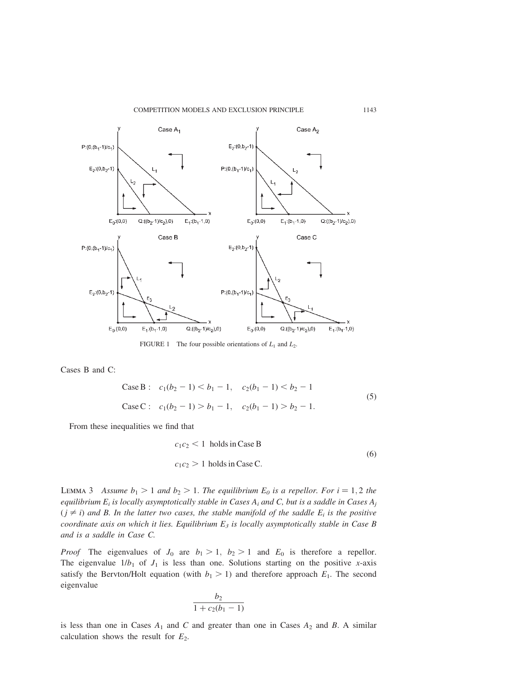

FIGURE 1 The four possible orientations of  $L_1$  and  $L_2$ .

Cases B and C:

Case B: 
$$
c_1(b_2 - 1) < b_1 - 1
$$
,  $c_2(b_1 - 1) < b_2 - 1$   
\nCase C:  $c_1(b_2 - 1) > b_1 - 1$ ,  $c_2(b_1 - 1) > b_2 - 1$ . (5)

From these inequalities we find that

$$
c_1 c_2 < 1 \text{ holds in Case B}
$$
  
\n
$$
c_1 c_2 > 1 \text{ holds in Case C.}
$$
 (6)

LEMMA 3 Assume  $b_1 > 1$  and  $b_2 > 1$ . The equilibrium  $E_0$  is a repellor. For  $i = 1, 2$  the equilibrium  $E_i$  is locally asymptotically stable in Cases  $A_i$  and C, but is a saddle in Cases  $A_j$  $(j \neq i)$  and B. In the latter two cases, the stable manifold of the saddle  $E_i$  is the positive coordinate axis on which it lies. Equilibrium  $E_3$  is locally asymptotically stable in Case B and is a saddle in Case C.

*Proof* The eigenvalues of  $J_0$  are  $b_1 > 1$ ,  $b_2 > 1$  and  $E_0$  is therefore a repellor. The eigenvalue  $1/b_1$  of  $J_1$  is less than one. Solutions starting on the positive x-axis satisfy the Bervton/Holt equation (with  $b_1 > 1$ ) and therefore approach  $E_1$ . The second eigenvalue

$$
\frac{b_2}{1+c_2(b_1-1)}
$$

is less than one in Cases  $A_1$  and C and greater than one in Cases  $A_2$  and B. A similar calculation shows the result for  $E_2$ .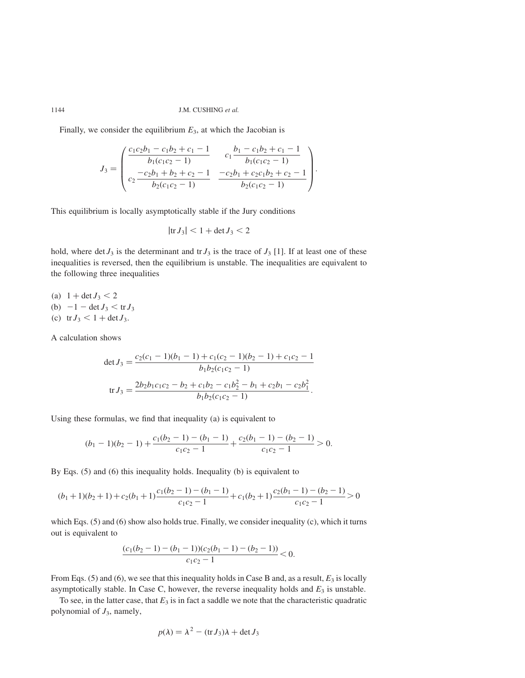Finally, we consider the equilibrium  $E_3$ , at which the Jacobian is

$$
J_3 = \begin{pmatrix} \frac{c_1c_2b_1 - c_1b_2 + c_1 - 1}{b_1(c_1c_2 - 1)} & \frac{c_1b_1 - c_1b_2 + c_1 - 1}{b_1(c_1c_2 - 1)} \\ \frac{-c_2b_1 + b_2 + c_2 - 1}{b_2(c_1c_2 - 1)} & \frac{-c_2b_1 + c_2c_1b_2 + c_2 - 1}{b_2(c_1c_2 - 1)} \end{pmatrix}.
$$

This equilibrium is locally asymptotically stable if the Jury conditions

$$
|\mathrm{tr}\,J_3|<1+\det J_3<2
$$

hold, where det  $J_3$  is the determinant and tr  $J_3$  is the trace of  $J_3$  [1]. If at least one of these inequalities is reversed, then the equilibrium is unstable. The inequalities are equivalent to the following three inequalities

- (a)  $1 + \det J_3 < 2$
- (b)  $-1 \det J_3 < \text{tr } J_3$
- (c)  $tr J_3 < 1 + \det J_3$ .

A calculation shows

$$
\det J_3 = \frac{c_2(c_1 - 1)(b_1 - 1) + c_1(c_2 - 1)(b_2 - 1) + c_1c_2 - 1}{b_1b_2(c_1c_2 - 1)}
$$

$$
\operatorname{tr} J_3 = \frac{2b_2b_1c_1c_2 - b_2 + c_1b_2 - c_1b_2^2 - b_1 + c_2b_1 - c_2b_1^2}{b_1b_2(c_1c_2 - 1)}.
$$

Using these formulas, we find that inequality (a) is equivalent to

$$
(b_1 - 1)(b_2 - 1) + \frac{c_1(b_2 - 1) - (b_1 - 1)}{c_1c_2 - 1} + \frac{c_2(b_1 - 1) - (b_2 - 1)}{c_1c_2 - 1} > 0.
$$

By Eqs. (5) and (6) this inequality holds. Inequality (b) is equivalent to

$$
(b_1 + 1)(b_2 + 1) + c_2(b_1 + 1)\frac{c_1(b_2 - 1) - (b_1 - 1)}{c_1c_2 - 1} + c_1(b_2 + 1)\frac{c_2(b_1 - 1) - (b_2 - 1)}{c_1c_2 - 1} > 0
$$

which Eqs. (5) and (6) show also holds true. Finally, we consider inequality (c), which it turns out is equivalent to

$$
\frac{(c_1(b_2-1)-(b_1-1))(c_2(b_1-1)-(b_2-1))}{c_1c_2-1}<0.
$$

From Eqs. (5) and (6), we see that this inequality holds in Case B and, as a result,  $E_3$  is locally asymptotically stable. In Case C, however, the reverse inequality holds and  $E_3$  is unstable.

To see, in the latter case, that  $E_3$  is in fact a saddle we note that the characteristic quadratic polynomial of  $J_3$ , namely,

$$
p(\lambda) = \lambda^2 - (\text{tr}\,J_3)\lambda + \det J_3
$$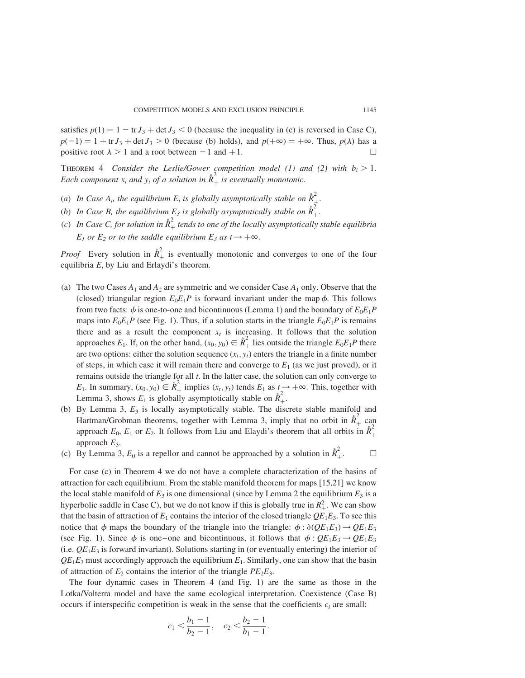satisfies  $p(1) = 1 - \text{tr} J_3 + \det J_3 < 0$  (because the inequality in (c) is reversed in Case C),  $p(-1) = 1 + \text{tr } J_3 + \det J_3 > 0$  (because (b) holds), and  $p(+\infty) = +\infty$ . Thus,  $p(\lambda)$  has a positive root  $\lambda > 1$  and a root between  $-1$  and  $+1$ .

THEOREM 4 Consider the Leslie/Gower competition model (1) and (2) with  $b_i > 1$ . Each component  $x_t$  and  $y_t$  of a solution in  $\mathring{R}_+^2$  is eventually monotonic.

- (a) In Case  $A_i$ , the equilibrium  $E_i$  is globally asymptotically stable on  $\mathring{R}_+^2$ .
- (b) In Case B, the equilibrium  $E_3$  is globally asymptotically stable on  $\tilde{R}_+^2$ .
- (c) In Case C, for solution in  $\mathring{R}_+^2$  tends to one of the locally asymptotically stable equilibria  $E_1$  or  $E_2$  or to the saddle equilibrium  $E_3$  as  $t \rightarrow +\infty$ .

*Proof* Every solution in  $\hat{R}_+^2$  is eventually monotonic and converges to one of the four equilibria  $E_i$  by Liu and Erlaydi's theorem.

- (a) The two Cases  $A_1$  and  $A_2$  are symmetric and we consider Case  $A_1$  only. Observe that the (closed) triangular region  $E_0E_1P$  is forward invariant under the map  $\phi$ . This follows from two facts:  $\phi$  is one-to-one and bicontinuous (Lemma 1) and the boundary of  $E_0E_1P$ maps into  $E_0E_1P$  (see Fig. 1). Thus, if a solution starts in the triangle  $E_0E_1P$  is remains there and as a result the component  $x_t$  is increasing. It follows that the solution approaches  $E_1$ . If, on the other hand,  $(x_0, y_0) \in \mathring{R}_+^2$  lies outside the triangle  $E_0E_1P$  there are two options: either the solution sequence  $(x_t, y_t)$  enters the triangle in a finite number of steps, in which case it will remain there and converge to  $E_1$  (as we just proved), or it remains outside the triangle for all  $t$ . In the latter case, the solution can only converge to  $E_1$ . In summary,  $(x_0, y_0) \in \mathring{R}_+^2$  implies  $(x_t, y_t)$  tends  $E_1$  as  $t \to +\infty$ . This, together with Lemma 3, shows  $E_1$  is globally asymptotically stable on  $\hat{R}_+^2$ .
- (b) By Lemma 3,  $E_3$  is locally asymptotically stable. The discrete stable manifold and Hartman/Grobman theorems, together with Lemma 3, imply that no orbit in  $\mathring{R}_+^2$  can approach  $E_0$ ,  $E_1$  or  $E_2$ . It follows from Liu and Elaydi's theorem that all orbits in  $\mathring{R}_+^2$ approach  $E_3$ .
- (c) By Lemma 3,  $E_0$  is a repellor and cannot be approached by a solution in  $\mathring{R}_+^2$ .

For case (c) in Theorem 4 we do not have a complete characterization of the basins of attraction for each equilibrium. From the stable manifold theorem for maps [15,21] we know the local stable manifold of  $E_3$  is one dimensional (since by Lemma 2 the equilibrium  $E_3$  is a hyperbolic saddle in Case C), but we do not know if this is globally true in  $R_+^2$ . We can show that the basin of attraction of  $E_1$  contains the interior of the closed triangle  $QE_1E_3$ . To see this notice that  $\phi$  maps the boundary of the triangle into the triangle:  $\phi$ :  $\partial (QE_1E_3) \rightarrow QE_1E_3$ (see Fig. 1). Since  $\phi$  is one–one and bicontinuous, it follows that  $\phi : QE_1E_3 \rightarrow QE_1E_3$ (i.e.  $QE_1E_3$  is forward invariant). Solutions starting in (or eventually entering) the interior of  $QE_1E_3$  must accordingly approach the equilibrium  $E_1$ . Similarly, one can show that the basin of attraction of  $E_2$  contains the interior of the triangle  $PE_2E_3$ .

The four dynamic cases in Theorem 4 (and Fig. 1) are the same as those in the Lotka/Volterra model and have the same ecological interpretation. Coexistence (Case B) occurs if interspecific competition is weak in the sense that the coefficients  $c_i$  are small:

$$
c_1 < \frac{b_1 - 1}{b_2 - 1}, \quad c_2 < \frac{b_2 - 1}{b_1 - 1}.
$$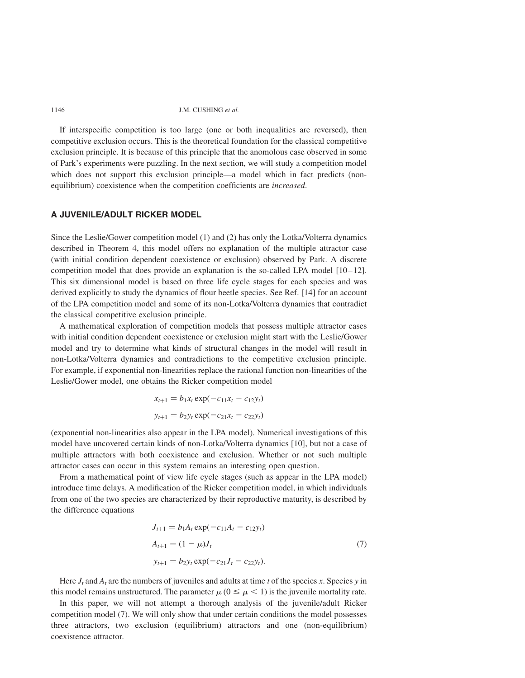If interspecific competition is too large (one or both inequalities are reversed), then competitive exclusion occurs. This is the theoretical foundation for the classical competitive exclusion principle. It is because of this principle that the anomolous case observed in some of Park's experiments were puzzling. In the next section, we will study a competition model which does not support this exclusion principle—a model which in fact predicts (nonequilibrium) coexistence when the competition coefficients are increased.

## A JUVENILE/ADULT RICKER MODEL

Since the Leslie/Gower competition model (1) and (2) has only the Lotka/Volterra dynamics described in Theorem 4, this model offers no explanation of the multiple attractor case (with initial condition dependent coexistence or exclusion) observed by Park. A discrete competition model that does provide an explanation is the so-called LPA model [10–12]. This six dimensional model is based on three life cycle stages for each species and was derived explicitly to study the dynamics of flour beetle species. See Ref. [14] for an account of the LPA competition model and some of its non-Lotka/Volterra dynamics that contradict the classical competitive exclusion principle.

A mathematical exploration of competition models that possess multiple attractor cases with initial condition dependent coexistence or exclusion might start with the Leslie/Gower model and try to determine what kinds of structural changes in the model will result in non-Lotka/Volterra dynamics and contradictions to the competitive exclusion principle. For example, if exponential non-linearities replace the rational function non-linearities of the Leslie/Gower model, one obtains the Ricker competition model

$$
x_{t+1} = b_1 x_t \exp(-c_{11} x_t - c_{12} y_t)
$$
  

$$
y_{t+1} = b_2 y_t \exp(-c_{21} x_t - c_{22} y_t)
$$

(exponential non-linearities also appear in the LPA model). Numerical investigations of this model have uncovered certain kinds of non-Lotka/Volterra dynamics [10], but not a case of multiple attractors with both coexistence and exclusion. Whether or not such multiple attractor cases can occur in this system remains an interesting open question.

From a mathematical point of view life cycle stages (such as appear in the LPA model) introduce time delays. A modification of the Ricker competition model, in which individuals from one of the two species are characterized by their reproductive maturity, is described by the difference equations

$$
J_{t+1} = b_1 A_t \exp(-c_{11} A_t - c_{12} y_t)
$$
  
\n
$$
A_{t+1} = (1 - \mu) J_t
$$
  
\n
$$
y_{t+1} = b_2 y_t \exp(-c_{21} J_t - c_{22} y_t).
$$
\n(7)

Here  $J_t$  and  $A_t$  are the numbers of juveniles and adults at time t of the species x. Species y in this model remains unstructured. The parameter  $\mu$  ( $0 \leq \mu < 1$ ) is the juvenile mortality rate.

In this paper, we will not attempt a thorough analysis of the juvenile/adult Ricker competition model (7). We will only show that under certain conditions the model possesses three attractors, two exclusion (equilibrium) attractors and one (non-equilibrium) coexistence attractor.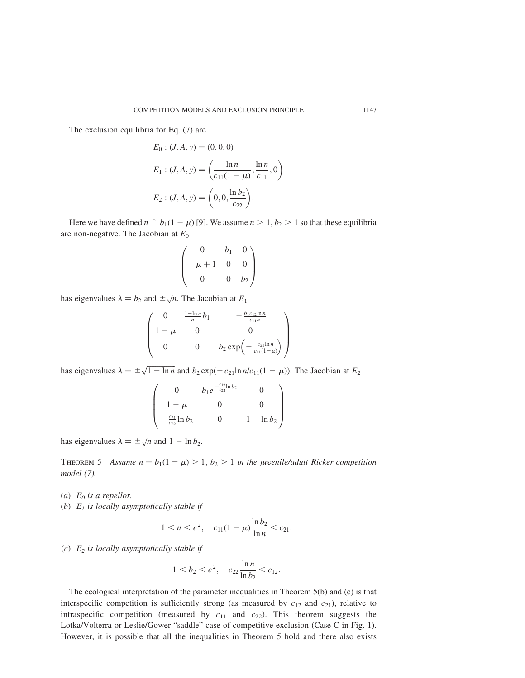The exclusion equilibria for Eq. (7) are

$$
E_0: (J, A, y) = (0, 0, 0)
$$
  
\n
$$
E_1: (J, A, y) = \left(\frac{\ln n}{c_{11}(1 - \mu)}, \frac{\ln n}{c_{11}}, 0\right)
$$
  
\n
$$
E_2: (J, A, y) = \left(0, 0, \frac{\ln b_2}{c_{22}}\right).
$$

Here we have defined  $n \triangleq b_1(1 - \mu)$  [9]. We assume  $n > 1, b_2 > 1$  so that these equilibria are non-negative. The Jacobian at  $E_0$ 

$$
\begin{pmatrix}\n0 & b_1 & 0 \\
-\mu + 1 & 0 & 0 \\
0 & 0 & b_2\n\end{pmatrix}
$$

has eigenvalues  $\lambda = b_2$  and  $\pm \sqrt{n}$ . The Jacobian at  $E_1$ 

$$
\begin{pmatrix}\n0 & \frac{1-\ln n}{n}b_1 & -\frac{b_1c_{12}\ln n}{c_{11}n} \\
1-\mu & 0 & 0 \\
0 & 0 & b_2 \exp\left(-\frac{c_{21}\ln n}{c_{11}(1-\mu)}\right)\n\end{pmatrix}
$$

has eigenvalues  $\lambda = \pm \sqrt{1 - \ln n}$  and  $b_2 \exp(-c_{21} \ln n/c_{11}(1 - \mu))$ . The Jacobian at  $E_2$ 

$$
\begin{pmatrix}\n0 & b_1 e^{-\frac{c_{12}}{c_{22}}\ln b_2} & 0 \\
1 - \mu & 0 & 0 \\
-\frac{c_{21}}{c_{22}}\ln b_2 & 0 & 1 - \ln b_2\n\end{pmatrix}
$$

has eigenvalues  $\lambda = \pm \sqrt{n}$  and  $1 - \ln b_2$ .

THEOREM 5 Assume  $n = b_1(1 - \mu) > 1, b_2 > 1$  in the juvenile/adult Ricker competition model (7).

(a)  $E_0$  is a repellor.

(b)  $E_1$  is locally asymptotically stable if

$$
1 < n < e^2, \quad c_{11}(1 - \mu) \frac{\ln b_2}{\ln n} < c_{21}.
$$

(c)  $E_2$  is locally asymptotically stable if

$$
1 < b_2 < e^2, \quad c_{22} \frac{\ln n}{\ln b_2} < c_{12}.
$$

The ecological interpretation of the parameter inequalities in Theorem 5(b) and (c) is that interspecific competition is sufficiently strong (as measured by  $c_{12}$  and  $c_{21}$ ), relative to intraspecific competition (measured by  $c_{11}$  and  $c_{22}$ ). This theorem suggests the Lotka/Volterra or Leslie/Gower "saddle" case of competitive exclusion (Case C in Fig. 1). However, it is possible that all the inequalities in Theorem 5 hold and there also exists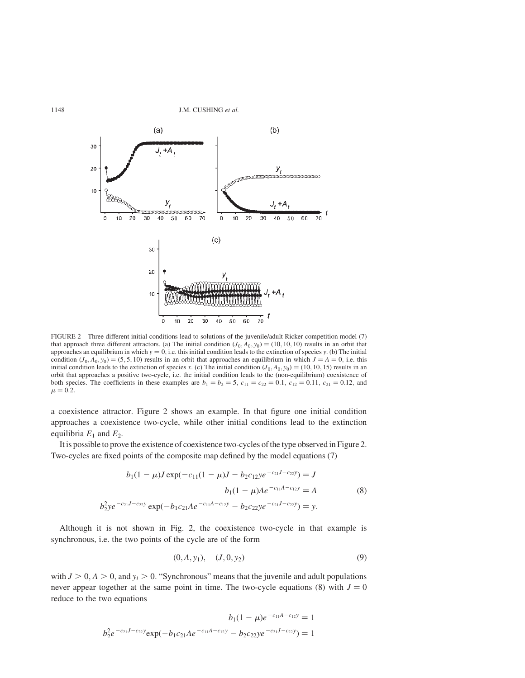

FIGURE 2 Three different initial conditions lead to solutions of the juvenile/adult Ricker competition model (7) that approach three different attractors. (a) The initial condition  $(J_0, A_0, y_0) = (10, 10, 10)$  results in an orbit that approaches an equilibrium in which  $y = 0$ , i.e. this initial condition leads to the extinction of species y. (b) The initial condition  $(J_0, A_0, y_0) = (5, 5, 10)$  results in an orbit that approaches an equilibrium in which  $J = A = 0$ , i.e. this initial condition leads to the extinction of species x. (c) The initial condition  $(J_0, A_0, y_0) = (10, 10, 15)$  results in an orbit that approaches a positive two-cycle, i.e. the initial condition leads to the (non-equilibrium) coexistence of both species. The coefficients in these examples are  $b_1 = b_2 = 5$ ,  $c_{11} = c_{22} = 0.1$ ,  $c_{12} = 0.11$ ,  $c_{21} = 0.12$ , and  $\mu = 0.2$ .

a coexistence attractor. Figure 2 shows an example. In that figure one initial condition approaches a coexistence two-cycle, while other initial conditions lead to the extinction equilibria  $E_1$  and  $E_2$ .

It is possible to prove the existence of coexistence two-cycles of the type observed in Figure 2. Two-cycles are fixed points of the composite map defined by the model equations (7)

$$
b_1(1 - \mu)J \exp(-c_{11}(1 - \mu)J - b_2c_{12}ye^{-c_{21}J - c_{22}y}) = J
$$
  
\n
$$
b_1(1 - \mu)Ae^{-c_{11}A - c_{12}y} = A
$$
 (8)  
\n
$$
b_2^2ye^{-c_{21}J - c_{22}y} \exp(-b_1c_{21}Ae^{-c_{11}A - c_{12}y} - b_2c_{22}ye^{-c_{21}J - c_{22}y}) = y.
$$

Although it is not shown in Fig. 2, the coexistence two-cycle in that example is synchronous, i.e. the two points of the cycle are of the form

$$
(0, A, y_1), \quad (J, 0, y_2) \tag{9}
$$

with  $J > 0$ ,  $A > 0$ , and  $y_i > 0$ . "Synchronous" means that the juvenile and adult populations never appear together at the same point in time. The two-cycle equations (8) with  $J = 0$ reduce to the two equations

$$
b_1(1 - \mu)e^{-c_{11}A - c_{12}y} = 1
$$
  

$$
b_2^2e^{-c_{21}J - c_{22}y} \exp(-b_1c_{21}Ae^{-c_{11}A - c_{12}y} - b_2c_{22}ye^{-c_{21}J - c_{22}y}) = 1
$$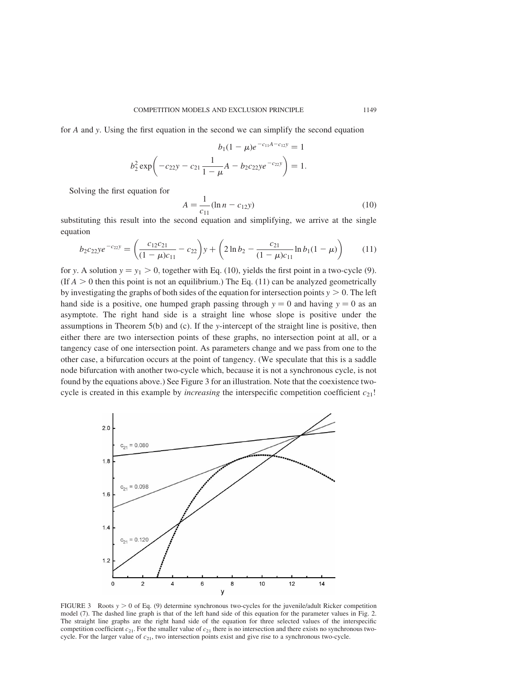for A and y. Using the first equation in the second we can simplify the second equation

$$
b_1(1 - \mu)e^{-c_{11}A - c_{12}y} = 1
$$
  

$$
b_2^2 \exp\left(-c_{22}y - c_{21}\frac{1}{1 - \mu}A - b_2c_{22}ye^{-c_{22}y}\right) = 1.
$$

Solving the first equation for

$$
A = \frac{1}{c_{11}} (\ln n - c_{12} y) \tag{10}
$$

substituting this result into the second equation and simplifying, we arrive at the single equation

$$
b_2c_{22}ye^{-c_{22}y} = \left(\frac{c_{12}c_{21}}{(1-\mu)c_{11}} - c_{22}\right)y + \left(2\ln b_2 - \frac{c_{21}}{(1-\mu)c_{11}}\ln b_1(1-\mu)\right) \tag{11}
$$

for y. A solution  $y = y_1 > 0$ , together with Eq. (10), yields the first point in a two-cycle (9). (If  $A > 0$  then this point is not an equilibrium.) The Eq. (11) can be analyzed geometrically by investigating the graphs of both sides of the equation for intersection points  $y > 0$ . The left hand side is a positive, one humped graph passing through  $y = 0$  and having  $y = 0$  as an asymptote. The right hand side is a straight line whose slope is positive under the assumptions in Theorem  $5(b)$  and (c). If the y-intercept of the straight line is positive, then either there are two intersection points of these graphs, no intersection point at all, or a tangency case of one intersection point. As parameters change and we pass from one to the other case, a bifurcation occurs at the point of tangency. (We speculate that this is a saddle node bifurcation with another two-cycle which, because it is not a synchronous cycle, is not found by the equations above.) See Figure 3 for an illustration. Note that the coexistence twocycle is created in this example by *increasing* the interspecific competition coefficient  $c_{21}!$ 



FIGURE 3 Roots  $y > 0$  of Eq. (9) determine synchronous two-cycles for the juvenile/adult Ricker competition model (7). The dashed line graph is that of the left hand side of this equation for the parameter values in Fig. 2. The straight line graphs are the right hand side of the equation for three selected values of the interspecific competition coefficient  $c_{21}$ . For the smaller value of  $c_{21}$  there is no intersection and there exists no synchronous twocycle. For the larger value of  $c_{21}$ , two intersection points exist and give rise to a synchronous two-cycle.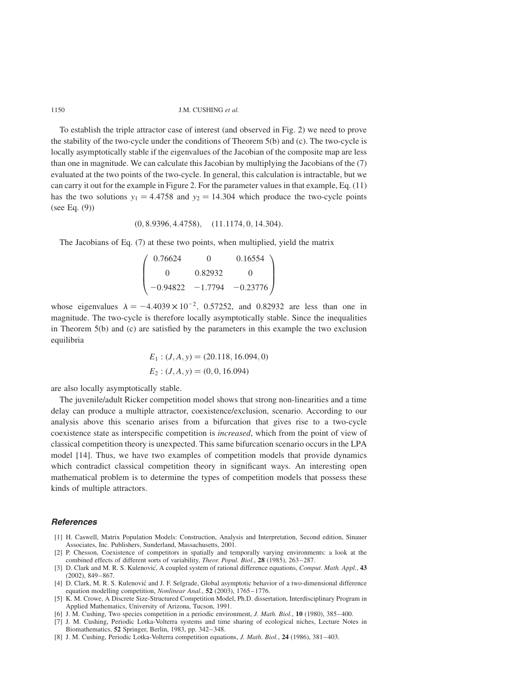To establish the triple attractor case of interest (and observed in Fig. 2) we need to prove the stability of the two-cycle under the conditions of Theorem 5(b) and (c). The two-cycle is locally asymptotically stable if the eigenvalues of the Jacobian of the composite map are less than one in magnitude. We can calculate this Jacobian by multiplying the Jacobians of the (7) evaluated at the two points of the two-cycle. In general, this calculation is intractable, but we can carry it out for the example in Figure 2. For the parameter values in that example, Eq. (11) has the two solutions  $y_1 = 4.4758$  and  $y_2 = 14.304$  which produce the two-cycle points (see Eq. (9))

$$
(0, 8.9396, 4.4758), \quad (11.1174, 0, 14.304).
$$

The Jacobians of Eq. (7) at these two points, when multiplied, yield the matrix

$$
\begin{pmatrix}\n0.76624 & 0 & 0.16554 \\
0 & 0.82932 & 0 \\
-0.94822 & -1.7794 & -0.23776\n\end{pmatrix}
$$

whose eigenvalues  $\lambda = -4.4039 \times 10^{-2}$ , 0.57252, and 0.82932 are less than one in magnitude. The two-cycle is therefore locally asymptotically stable. Since the inequalities in Theorem 5(b) and (c) are satisfied by the parameters in this example the two exclusion equilibria

$$
E_1: (J, A, y) = (20.118, 16.094, 0)
$$
  

$$
E_2: (J, A, y) = (0, 0, 16.094)
$$

are also locally asymptotically stable.

The juvenile/adult Ricker competition model shows that strong non-linearities and a time delay can produce a multiple attractor, coexistence/exclusion, scenario. According to our analysis above this scenario arises from a bifurcation that gives rise to a two-cycle coexistence state as interspecific competition is increased, which from the point of view of classical competition theory is unexpected. This same bifurcation scenario occurs in the LPA model [14]. Thus, we have two examples of competition models that provide dynamics which contradict classical competition theory in significant ways. An interesting open mathematical problem is to determine the types of competition models that possess these kinds of multiple attractors.

## **References**

- [1] H. Caswell, Matrix Population Models: Construction, Analysis and Interpretation, Second edition, Sinauer Associates, Inc. Publishers, Sunderland, Massachusetts, 2001.
- [2] P. Chesson, Coexistence of competitors in spatially and temporally varying environments: a look at the combined effects of different sorts of variability, Theor. Popul. Biol., 28 (1985), 263–287.
- [3] D. Clark and M. R. S. Kulenovic, A coupled system of rational difference equations, Comput. Math. Appl., 43 (2002), 849–867.
- [4] D. Clark, M. R. S. Kulenović and J. F. Selgrade, Global asymptotic behavior of a two-dimensional difference equation modelling competition, *Nonlinear Anal.*, 52 (2003), 1765–1776.
- [5] K. M. Crowe, A Discrete Size-Structured Competition Model, Ph.D. dissertation, Interdisciplinary Program in Applied Mathematics, University of Arizona, Tucson, 1991.
- [6] J. M. Cushing, Two species competition in a periodic environment, *J. Math. Biol.*, 10 (1980), 385–400.
- [7] J. M. Cushing, Periodic Lotka-Volterra systems and time sharing of ecological niches, Lecture Notes in Biomathematics, 52 Springer, Berlin, 1983, pp. 342–348.
- [8] J. M. Cushing, Periodic Lotka-Volterra competition equations, J. Math. Biol., 24 (1986), 381–403.